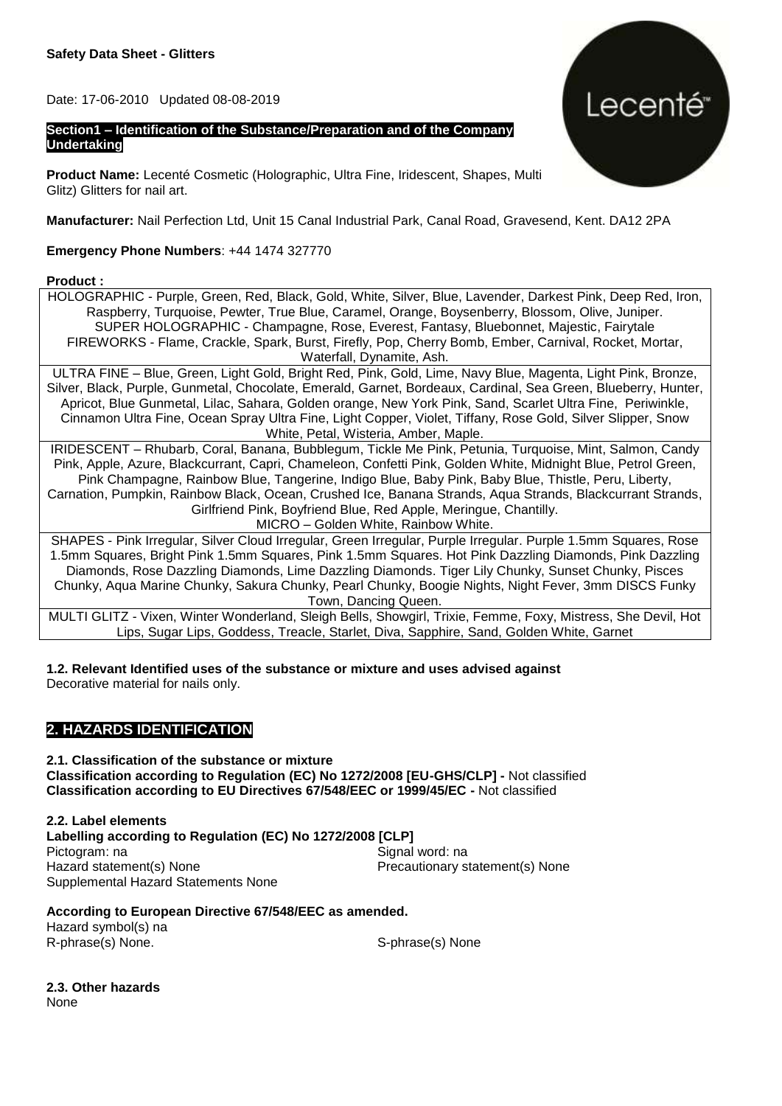Date: 17-06-2010 Updated 08-08-2019

#### **Section1 – Identification of the Substance/Preparation and of the Company Undertaking**

**Product Name:** Lecenté Cosmetic (Holographic, Ultra Fine, Iridescent, Shapes, Multi Glitz) Glitters for nail art.

**Manufacturer:** Nail Perfection Ltd, Unit 15 Canal Industrial Park, Canal Road, Gravesend, Kent. DA12 2PA

Lecenté<sup>®</sup>

**Emergency Phone Numbers**: +44 1474 327770

#### **Product :**

| HOLOGRAPHIC - Purple, Green, Red, Black, Gold, White, Silver, Blue, Lavender, Darkest Pink, Deep Red, Iron,    |
|----------------------------------------------------------------------------------------------------------------|
| Raspberry, Turquoise, Pewter, True Blue, Caramel, Orange, Boysenberry, Blossom, Olive, Juniper.                |
| SUPER HOLOGRAPHIC - Champagne, Rose, Everest, Fantasy, Bluebonnet, Majestic, Fairytale                         |
| FIREWORKS - Flame, Crackle, Spark, Burst, Firefly, Pop, Cherry Bomb, Ember, Carnival, Rocket, Mortar,          |
| Waterfall, Dynamite, Ash.                                                                                      |
| ULTRA FINE – Blue, Green, Light Gold, Bright Red, Pink, Gold, Lime, Navy Blue, Magenta, Light Pink, Bronze,    |
| Silver, Black, Purple, Gunmetal, Chocolate, Emerald, Garnet, Bordeaux, Cardinal, Sea Green, Blueberry, Hunter, |
| Apricot, Blue Gunmetal, Lilac, Sahara, Golden orange, New York Pink, Sand, Scarlet Ultra Fine, Periwinkle,     |
| Cinnamon Ultra Fine, Ocean Spray Ultra Fine, Light Copper, Violet, Tiffany, Rose Gold, Silver Slipper, Snow    |
| White, Petal, Wisteria, Amber, Maple.                                                                          |
| IRIDESCENT - Rhubarb, Coral, Banana, Bubblegum, Tickle Me Pink, Petunia, Turquoise, Mint, Salmon, Candy        |
| Pink, Apple, Azure, Blackcurrant, Capri, Chameleon, Confetti Pink, Golden White, Midnight Blue, Petrol Green,  |
| Pink Champagne, Rainbow Blue, Tangerine, Indigo Blue, Baby Pink, Baby Blue, Thistle, Peru, Liberty,            |
| Carnation, Pumpkin, Rainbow Black, Ocean, Crushed Ice, Banana Strands, Aqua Strands, Blackcurrant Strands,     |
| Girlfriend Pink, Boyfriend Blue, Red Apple, Meringue, Chantilly.                                               |
| MICRO - Golden White, Rainbow White.                                                                           |
| SHAPES - Pink Irregular, Silver Cloud Irregular, Green Irregular, Purple Irregular. Purple 1.5mm Squares, Rose |
| 1.5mm Squares, Bright Pink 1.5mm Squares, Pink 1.5mm Squares. Hot Pink Dazzling Diamonds, Pink Dazzling        |
| Diamonds, Rose Dazzling Diamonds, Lime Dazzling Diamonds. Tiger Lily Chunky, Sunset Chunky, Pisces             |
| Chunky, Aqua Marine Chunky, Sakura Chunky, Pearl Chunky, Boogie Nights, Night Fever, 3mm DISCS Funky           |
| Town, Dancing Queen.                                                                                           |
| MULTI GLITZ - Vixen, Winter Wonderland, Sleigh Bells, Showgirl, Trixie, Femme, Foxy, Mistress, She Devil, Hot  |
| Lips, Sugar Lips, Goddess, Treacle, Starlet, Diva, Sapphire, Sand, Golden White, Garnet                        |

**1.2. Relevant Identified uses of the substance or mixture and uses advised against** Decorative material for nails only.

# **2. HAZARDS IDENTIFICATION**

**2.1. Classification of the substance or mixture Classification according to Regulation (EC) No 1272/2008 [EU-GHS/CLP] -** Not classified **Classification according to EU Directives 67/548/EEC or 1999/45/EC -** Not classified

**2.2. Label elements Labelling according to Regulation (EC) No 1272/2008 [CLP]** Pictogram: na Signal word: na Signal word: na Signal word: na Signal word: na Signal word: na Signal word: na Signal word: na Signal word: na Signal word: na Signal word: na Signal word: na Signal word: na Signal word: na Hazard statement(s) None **Precautionary statement**(s) None Supplemental Hazard Statements None

**According to European Directive 67/548/EEC as amended.**

Hazard symbol(s) na R-phrase(s) None. S-phrase(s) None

**2.3. Other hazards**

None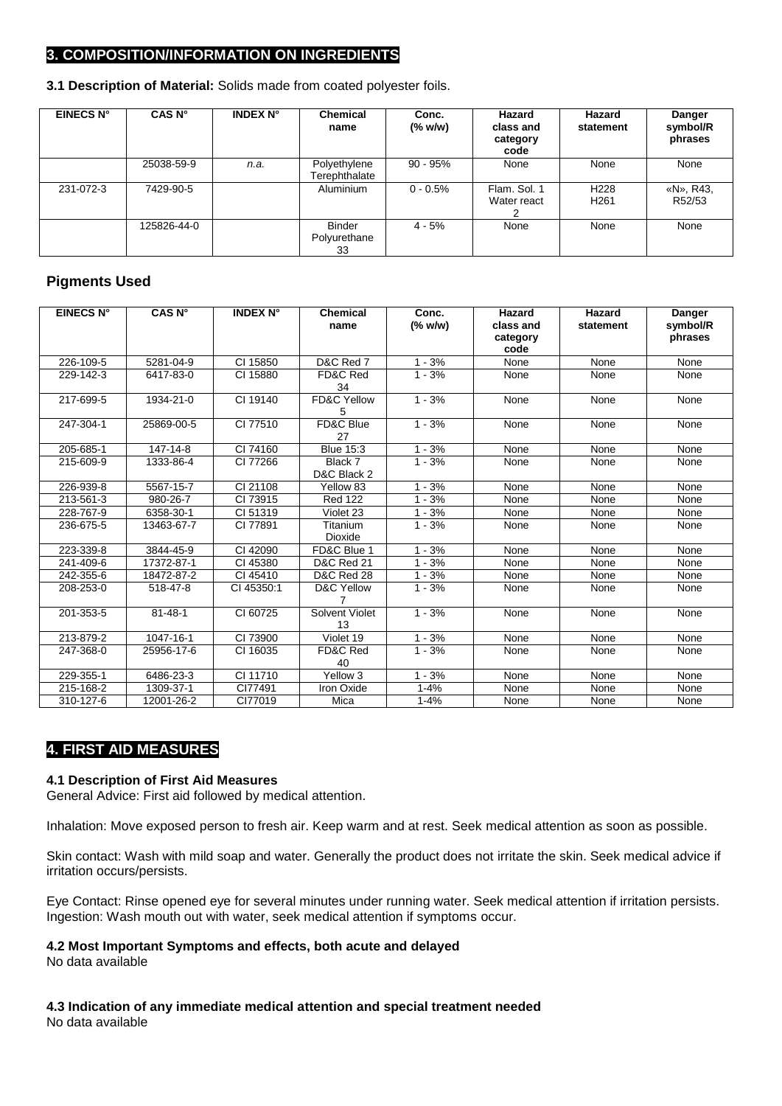# **3. COMPOSITION/INFORMATION ON INGREDIENTS**

**3.1 Description of Material:** Solids made from coated polyester foils.

| <b>EINECS N°</b> | CAS N°      | <b>INDEX N°</b> | <b>Chemical</b><br>name             | Conc.<br>$(%$ (% w/w) | Hazard<br>class and<br>category<br>code | Hazard<br>statement                  | Danger<br>symbol/R<br>phrases |
|------------------|-------------|-----------------|-------------------------------------|-----------------------|-----------------------------------------|--------------------------------------|-------------------------------|
|                  | 25038-59-9  | n.a.            | Polyethylene<br>Terephthalate       | $90 - 95%$            | None                                    | None                                 | None                          |
| 231-072-3        | 7429-90-5   |                 | Aluminium                           | $0 - 0.5%$            | Flam, Sol. 1<br>Water react             | H <sub>228</sub><br>H <sub>261</sub> | «N», R43,<br>R52/53           |
|                  | 125826-44-0 |                 | <b>Binder</b><br>Polyurethane<br>33 | $4 - 5%$              | None                                    | None                                 | None                          |

# **Pigments Used**

| <b>EINECS N°</b> | CAS <sub>N°</sub> | <b>INDEX N°</b> | <b>Chemical</b><br>name     | Conc.<br>(% w/w) | Hazard<br>class and | Hazard<br>statement | Danger<br>symbol/R |
|------------------|-------------------|-----------------|-----------------------------|------------------|---------------------|---------------------|--------------------|
|                  |                   |                 |                             |                  | category<br>code    |                     | phrases            |
| 226-109-5        | 5281-04-9         | CI 15850        | D&C Red 7                   | $1 - 3%$         | None                | None                | None               |
| 229-142-3        | 6417-83-0         | CI 15880        | FD&C Red<br>34              | $1 - 3%$         | None                | None                | None               |
| 217-699-5        | 1934-21-0         | CI 19140        | <b>FD&amp;C Yellow</b><br>5 | $1 - 3%$         | None                | None                | None               |
| 247-304-1        | 25869-00-5        | CI 77510        | FD&C Blue<br>27             | $1 - 3%$         | None                | None                | None               |
| 205-685-1        | 147-14-8          | CI 74160        | <b>Blue 15:3</b>            | $1 - 3%$         | None                | None                | None               |
| 215-609-9        | 1333-86-4         | CI 77266        | Black 7<br>D&C Black 2      | $1 - 3%$         | None                | None                | None               |
| 226-939-8        | 5567-15-7         | CI 21108        | Yellow 83                   | $1 - 3%$         | None                | None                | None               |
| 213-561-3        | 980-26-7          | CI 73915        | <b>Red 122</b>              | $1 - 3%$         | None                | None                | None               |
| 228-767-9        | 6358-30-1         | CI 51319        | Violet 23                   | $1 - 3%$         | None                | None                | None               |
| 236-675-5        | 13463-67-7        | CI 77891        | Titanium<br>Dioxide         | $1 - 3%$         | None                | None                | None               |
| 223-339-8        | 3844-45-9         | CI 42090        | FD&C Blue 1                 | $1 - 3%$         | None                | None                | None               |
| 241-409-6        | 17372-87-1        | CI 45380        | <b>D&amp;C Red 21</b>       | $1 - 3%$         | None                | None                | None               |
| 242-355-6        | 18472-87-2        | CI 45410        | <b>D&amp;C Red 28</b>       | $1 - 3%$         | None                | None                | None               |
| 208-253-0        | 518-47-8          | CI 45350:1      | D&C Yellow<br>7             | $1 - 3%$         | None                | None                | None               |
| 201-353-5        | $81 - 48 - 1$     | CI 60725        | Solvent Violet<br>13        | $1 - 3%$         | None                | None                | None               |
| 213-879-2        | 1047-16-1         | CI 73900        | Violet 19                   | $1 - 3%$         | None                | None                | None               |
| 247-368-0        | 25956-17-6        | CI 16035        | FD&C Red<br>40              | $1 - 3%$         | None                | None                | None               |
| 229-355-1        | 6486-23-3         | CI 11710        | Yellow 3                    | $1 - 3%$         | None                | None                | None               |
| 215-168-2        | 1309-37-1         | CI77491         | Iron Oxide                  | $1 - 4%$         | None                | None                | None               |
| 310-127-6        | 12001-26-2        | CI77019         | Mica                        | $1 - 4%$         | None                | None                | None               |

# **4. FIRST AID MEASURES**

#### **4.1 Description of First Aid Measures**

General Advice: First aid followed by medical attention.

Inhalation: Move exposed person to fresh air. Keep warm and at rest. Seek medical attention as soon as possible.

Skin contact: Wash with mild soap and water. Generally the product does not irritate the skin. Seek medical advice if irritation occurs/persists.

Eye Contact: Rinse opened eye for several minutes under running water. Seek medical attention if irritation persists. Ingestion: Wash mouth out with water, seek medical attention if symptoms occur.

# **4.2 Most Important Symptoms and effects, both acute and delayed**

No data available

**4.3 Indication of any immediate medical attention and special treatment needed** No data available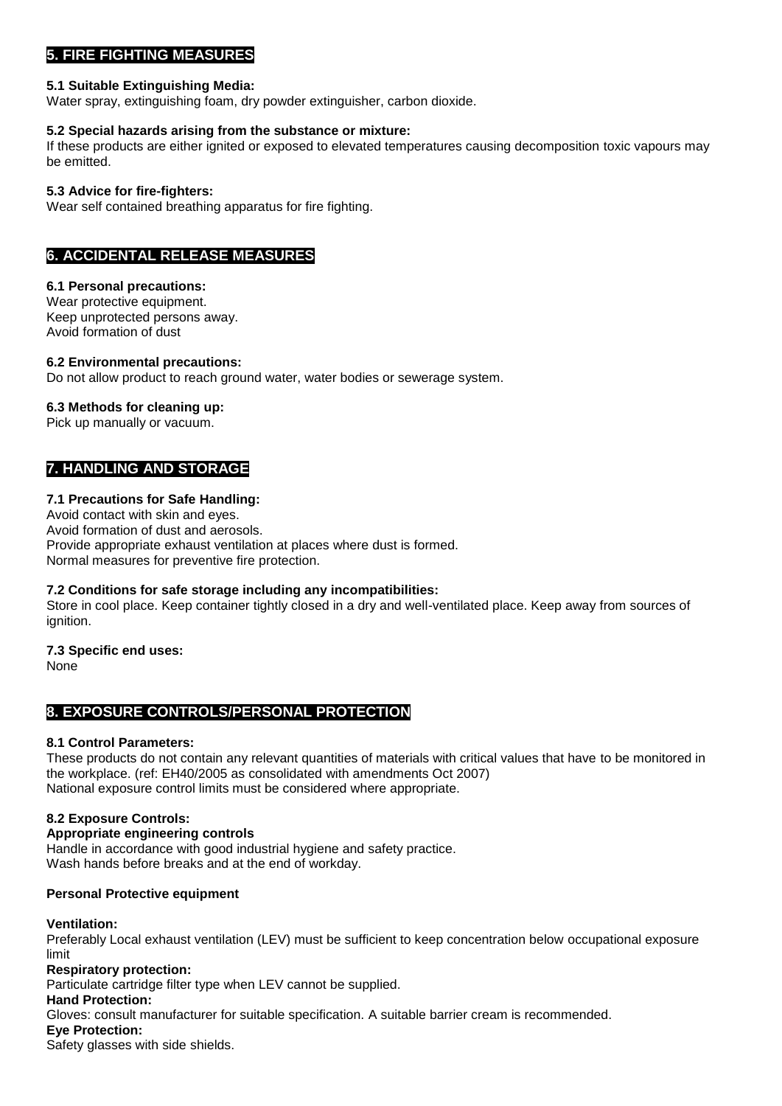# **5. FIRE FIGHTING MEASURES**

#### **5.1 Suitable Extinguishing Media:**

Water spray, extinguishing foam, dry powder extinguisher, carbon dioxide.

#### **5.2 Special hazards arising from the substance or mixture:**

If these products are either ignited or exposed to elevated temperatures causing decomposition toxic vapours may be emitted.

#### **5.3 Advice for fire-fighters:**

Wear self contained breathing apparatus for fire fighting.

# **6. ACCIDENTAL RELEASE MEASURES**

#### **6.1 Personal precautions:**

Wear protective equipment. Keep unprotected persons away. Avoid formation of dust

**6.2 Environmental precautions:** Do not allow product to reach ground water, water bodies or sewerage system.

#### **6.3 Methods for cleaning up:**

Pick up manually or vacuum.

# **7. HANDLING AND STORAGE**

#### **7.1 Precautions for Safe Handling:**

Avoid contact with skin and eyes. Avoid formation of dust and aerosols. Provide appropriate exhaust ventilation at places where dust is formed. Normal measures for preventive fire protection.

#### **7.2 Conditions for safe storage including any incompatibilities:**

Store in cool place. Keep container tightly closed in a dry and well-ventilated place. Keep away from sources of ignition.

#### **7.3 Specific end uses:**

None

# **8. EXPOSURE CONTROLS/PERSONAL PROTECTION**

#### **8.1 Control Parameters:**

These products do not contain any relevant quantities of materials with critical values that have to be monitored in the workplace. (ref: EH40/2005 as consolidated with amendments Oct 2007) National exposure control limits must be considered where appropriate.

#### **8.2 Exposure Controls:**

#### **Appropriate engineering controls**

Handle in accordance with good industrial hygiene and safety practice. Wash hands before breaks and at the end of workday.

#### **Personal Protective equipment**

#### **Ventilation:**

Preferably Local exhaust ventilation (LEV) must be sufficient to keep concentration below occupational exposure limit

#### **Respiratory protection:**

Particulate cartridge filter type when LEV cannot be supplied.

#### **Hand Protection:**

Gloves: consult manufacturer for suitable specification. A suitable barrier cream is recommended.

#### **Eye Protection:**

Safety glasses with side shields.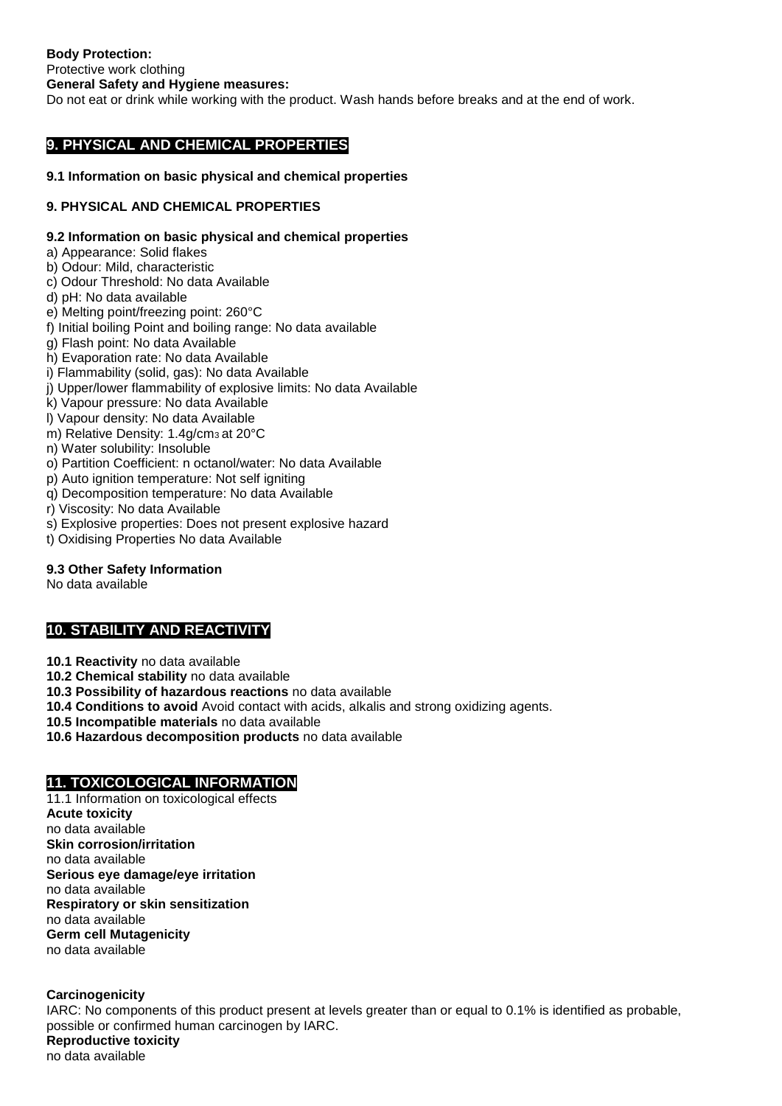# **9. PHYSICAL AND CHEMICAL PROPERTIES**

#### **9.1 Information on basic physical and chemical properties**

#### **9. PHYSICAL AND CHEMICAL PROPERTIES**

#### **9.2 Information on basic physical and chemical properties**

- a) Appearance: Solid flakes
- b) Odour: Mild, characteristic
- c) Odour Threshold: No data Available
- d) pH: No data available
- e) Melting point/freezing point: 260°C
- f) Initial boiling Point and boiling range: No data available
- g) Flash point: No data Available
- h) Evaporation rate: No data Available
- i) Flammability (solid, gas): No data Available
- j) Upper/lower flammability of explosive limits: No data Available
- k) Vapour pressure: No data Available
- l) Vapour density: No data Available
- m) Relative Density: 1.4g/cm3 at 20°C
- n) Water solubility: Insoluble
- o) Partition Coefficient: n octanol/water: No data Available
- p) Auto ignition temperature: Not self igniting
- q) Decomposition temperature: No data Available
- r) Viscosity: No data Available
- s) Explosive properties: Does not present explosive hazard
- t) Oxidising Properties No data Available

#### **9.3 Other Safety Information**

No data available

# **10. STABILITY AND REACTIVITY**

- **10.1 Reactivity** no data available
- **10.2 Chemical stability** no data available
- **10.3 Possibility of hazardous reactions** no data available
- **10.4 Conditions to avoid** Avoid contact with acids, alkalis and strong oxidizing agents.
- **10.5 Incompatible materials** no data available
- **10.6 Hazardous decomposition products** no data available

#### **11. TOXICOLOGICAL INFORMATION**

11.1 Information on toxicological effects **Acute toxicity** no data available **Skin corrosion/irritation** no data available **Serious eye damage/eye irritation** no data available **Respiratory or skin sensitization** no data available **Germ cell Mutagenicity** no data available

#### **Carcinogenicity**

IARC: No components of this product present at levels greater than or equal to 0.1% is identified as probable, possible or confirmed human carcinogen by IARC. **Reproductive toxicity** no data available